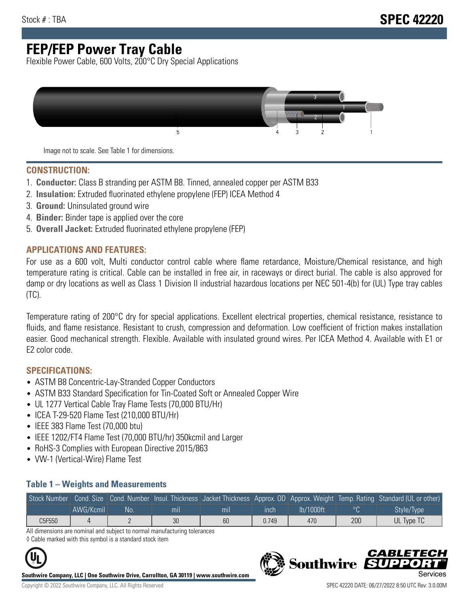# **FEP/FEP Power Tray Cable**

Flexible Power Cable, 600 Volts, 200°C Dry Special Applications



Image not to scale. See Table 1 for dimensions.

#### **CONSTRUCTION:**

- 1. **Conductor:** Class B stranding per ASTM B8. Tinned, annealed copper per ASTM B33
- 2. **Insulation:** Extruded fluorinated ethylene propylene (FEP) ICEA Method 4
- 3. **Ground:** Uninsulated ground wire
- 4. **Binder:** Binder tape is applied over the core
- 5. **Overall Jacket:** Extruded fluorinated ethylene propylene (FEP)

### **APPLICATIONS AND FEATURES:**

For use as a 600 volt, Multi conductor control cable where flame retardance, Moisture/Chemical resistance, and high temperature rating is critical. Cable can be installed in free air, in raceways or direct burial. The cable is also approved for damp or dry locations as well as Class 1 Division II industrial hazardous locations per NEC 501-4(b) for (UL) Type tray cables (TC).

Temperature rating of 200°C dry for special applications. Excellent electrical properties, chemical resistance, resistance to fluids, and flame resistance. Resistant to crush, compression and deformation. Low coefficient of friction makes installation easier. Good mechanical strength. Flexible. Available with insulated ground wires. Per ICEA Method 4. Available with E1 or E2 color code.

### **SPECIFICATIONS:**

- ASTM B8 Concentric-Lay-Stranded Copper Conductors
- ASTM B33 Standard Specification for Tin-Coated Soft or Annealed Copper Wire
- UL 1277 Vertical Cable Tray Flame Tests (70,000 BTU/Hr)
- ICEA T-29-520 Flame Test (210,000 BTU/Hr)
- IEEE 383 Flame Test (70,000 btu)
- IEEE 1202/FT4 Flame Test (70,000 BTU/hr) 350kcmil and Larger
- RoHS-3 Complies with European Directive 2015/863
- VW-1 (Vertical-Wire) Flame Test

#### **Table 1 – Weights and Measurements**

| Stock Number |           |     |                |                |       |           |     | Cond. Size Cond. Number Insul. Thickness Jacket Thickness Approx. OD Approx. Weight Temp. Rating Standard (UL or other) |
|--------------|-----------|-----|----------------|----------------|-------|-----------|-----|-------------------------------------------------------------------------------------------------------------------------|
|              | AWG/Kcmil | No. | m <sub>l</sub> | m <sub>l</sub> | ınch  | lb/1000ft |     | Style/Type                                                                                                              |
| C5F550       |           |     | 30             | 60             | 0.749 | 470       | 200 | UL Type TC                                                                                                              |

All dimensions are nominal and subject to normal manufacturing tolerances ◊ Cable marked with this symbol is a standard stock item



**Southwire Company, LLC | One Southwire Drive, Carrollton, GA 30119 | www.southwire.com**